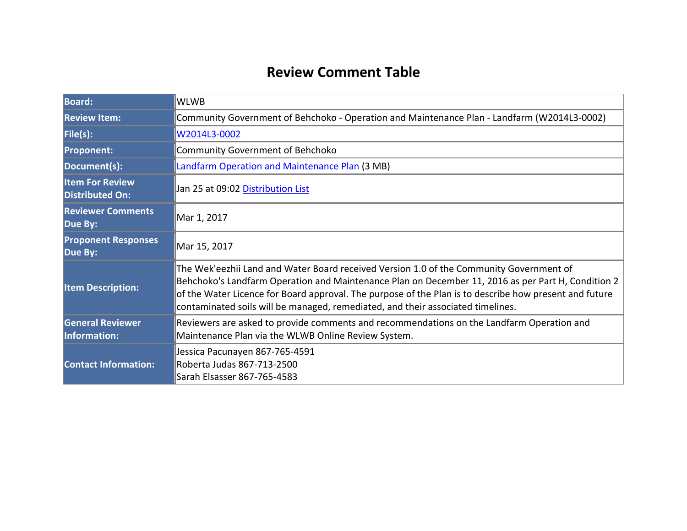# **Review Comment Table**

| <b>Board:</b>                                    | <b>WLWB</b>                                                                                                                                                                                                                                                                                                                                                                                |
|--------------------------------------------------|--------------------------------------------------------------------------------------------------------------------------------------------------------------------------------------------------------------------------------------------------------------------------------------------------------------------------------------------------------------------------------------------|
| <b>Review Item:</b>                              | Community Government of Behchoko - Operation and Maintenance Plan - Landfarm (W2014L3-0002)                                                                                                                                                                                                                                                                                                |
| File(s):                                         | W2014L3-0002                                                                                                                                                                                                                                                                                                                                                                               |
| <b>Proponent:</b>                                | <b>Community Government of Behchoko</b>                                                                                                                                                                                                                                                                                                                                                    |
| Document(s):                                     | <b>Landfarm Operation and Maintenance Plan (3 MB)</b>                                                                                                                                                                                                                                                                                                                                      |
| <b>Item For Review</b><br><b>Distributed On:</b> | Jan 25 at 09:02 Distribution List                                                                                                                                                                                                                                                                                                                                                          |
| <b>Reviewer Comments</b><br>Due By:              | Mar 1, 2017                                                                                                                                                                                                                                                                                                                                                                                |
| <b>Proponent Responses</b><br>Due By:            | Mar 15, 2017                                                                                                                                                                                                                                                                                                                                                                               |
| <b>Item Description:</b>                         | The Wek'eezhii Land and Water Board received Version 1.0 of the Community Government of<br>Behchoko's Landfarm Operation and Maintenance Plan on December 11, 2016 as per Part H, Condition 2<br>of the Water Licence for Board approval. The purpose of the Plan is to describe how present and future<br>contaminated soils will be managed, remediated, and their associated timelines. |
| <b>General Reviewer</b><br><b>Information:</b>   | Reviewers are asked to provide comments and recommendations on the Landfarm Operation and<br>Maintenance Plan via the WLWB Online Review System.                                                                                                                                                                                                                                           |
| <b>Contact Information:</b>                      | Jessica Pacunayen 867-765-4591<br>Roberta Judas 867-713-2500<br>Sarah Elsasser 867-765-4583                                                                                                                                                                                                                                                                                                |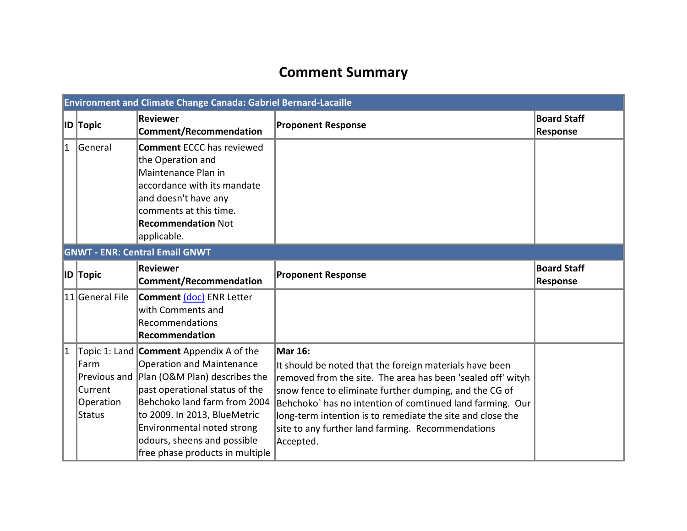# **Comment Summary**

|   | Environment and Climate Change Canada: Gabriel Bernard-Lacaille |                                                                                                                                                                                                                                                                                                                             |                                                                                                                                                                                                                                                                                                                                                                                                 |                                       |  |
|---|-----------------------------------------------------------------|-----------------------------------------------------------------------------------------------------------------------------------------------------------------------------------------------------------------------------------------------------------------------------------------------------------------------------|-------------------------------------------------------------------------------------------------------------------------------------------------------------------------------------------------------------------------------------------------------------------------------------------------------------------------------------------------------------------------------------------------|---------------------------------------|--|
|   | <b>ID</b> Topic                                                 | Reviewer<br><b>Comment/Recommendation</b>                                                                                                                                                                                                                                                                                   | <b>Proponent Response</b>                                                                                                                                                                                                                                                                                                                                                                       | <b>Board Staff</b><br><b>Response</b> |  |
| 1 | General                                                         | <b>Comment ECCC has reviewed</b><br>the Operation and<br>Maintenance Plan in<br>accordance with its mandate<br>and doesn't have any<br>comments at this time.<br><b>Recommendation Not</b><br>applicable.                                                                                                                   |                                                                                                                                                                                                                                                                                                                                                                                                 |                                       |  |
|   |                                                                 | <b>GNWT - ENR: Central Email GNWT</b>                                                                                                                                                                                                                                                                                       |                                                                                                                                                                                                                                                                                                                                                                                                 |                                       |  |
|   | <b>ID</b> Topic                                                 | Reviewer<br><b>Comment/Recommendation</b>                                                                                                                                                                                                                                                                                   | <b>Proponent Response</b>                                                                                                                                                                                                                                                                                                                                                                       | <b>Board Staff</b><br><b>Response</b> |  |
|   | 11 General File                                                 | <b>Comment (doc) ENR Letter</b><br>with Comments and<br>Recommendations<br><b>Recommendation</b>                                                                                                                                                                                                                            |                                                                                                                                                                                                                                                                                                                                                                                                 |                                       |  |
| 1 | Farm<br>Current<br>Operation<br>Status                          | Topic 1: Land <b>Comment</b> Appendix A of the<br>Operation and Maintenance<br>Previous and Plan (O&M Plan) describes the<br>past operational status of the<br>Behchoko land farm from 2004<br>to 2009. In 2013, BlueMetric<br>Environmental noted strong<br>odours, sheens and possible<br>free phase products in multiple | <b>Mar 16:</b><br>It should be noted that the foreign materials have been<br>removed from the site. The area has been 'sealed off' wityh<br>snow fence to eliminate further dumping, and the CG of<br>Behchoko' has no intention of comtinued land farming. Our<br>long-term intention is to remediate the site and close the<br>site to any further land farming. Recommendations<br>Accepted. |                                       |  |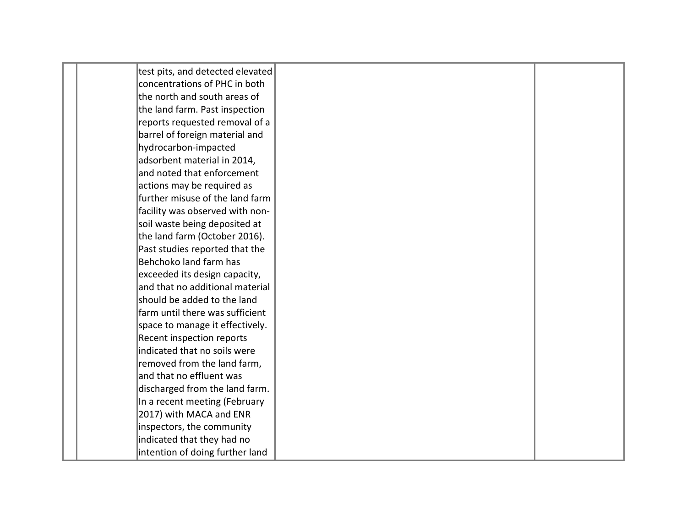| test pits, and detected elevated |  |
|----------------------------------|--|
| concentrations of PHC in both    |  |
| the north and south areas of     |  |
| the land farm. Past inspection   |  |
| reports requested removal of a   |  |
| barrel of foreign material and   |  |
| hydrocarbon-impacted             |  |
| adsorbent material in 2014,      |  |
| and noted that enforcement       |  |
| actions may be required as       |  |
| further misuse of the land farm  |  |
| facility was observed with non-  |  |
| soil waste being deposited at    |  |
| the land farm (October 2016).    |  |
| Past studies reported that the   |  |
| Behchoko land farm has           |  |
| exceeded its design capacity,    |  |
| and that no additional material  |  |
| should be added to the land      |  |
| farm until there was sufficient  |  |
| space to manage it effectively.  |  |
| <b>Recent inspection reports</b> |  |
| indicated that no soils were     |  |
| removed from the land farm,      |  |
| and that no effluent was         |  |
| discharged from the land farm.   |  |
| In a recent meeting (February    |  |
| 2017) with MACA and ENR          |  |
| inspectors, the community        |  |
| indicated that they had no       |  |
| intention of doing further land  |  |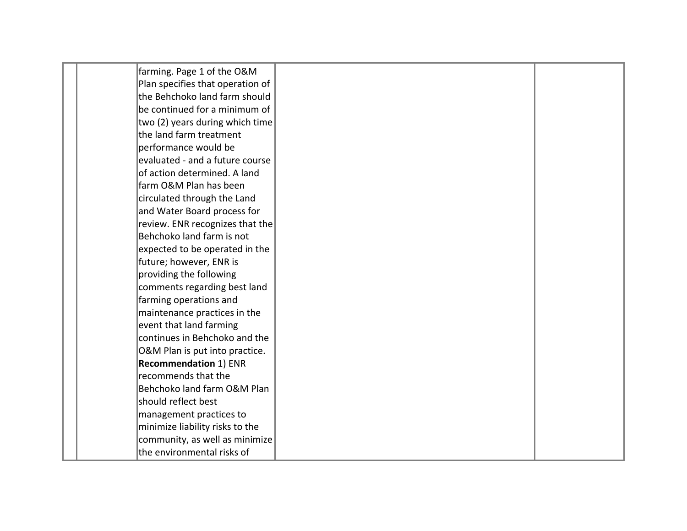| farming. Page 1 of the O&M       |  |
|----------------------------------|--|
| Plan specifies that operation of |  |
| the Behchoko land farm should    |  |
| be continued for a minimum of    |  |
| two (2) years during which time  |  |
| the land farm treatment          |  |
| performance would be             |  |
| evaluated - and a future course  |  |
| of action determined. A land     |  |
| farm O&M Plan has been           |  |
| circulated through the Land      |  |
| and Water Board process for      |  |
| review. ENR recognizes that the  |  |
| Behchoko land farm is not        |  |
| expected to be operated in the   |  |
| future; however, ENR is          |  |
| providing the following          |  |
| comments regarding best land     |  |
| farming operations and           |  |
| maintenance practices in the     |  |
| event that land farming          |  |
| continues in Behchoko and the    |  |
| O&M Plan is put into practice.   |  |
| <b>Recommendation 1) ENR</b>     |  |
| recommends that the              |  |
| Behchoko land farm O&M Plan      |  |
| should reflect best              |  |
| management practices to          |  |
| minimize liability risks to the  |  |
| community, as well as minimize   |  |
| the environmental risks of       |  |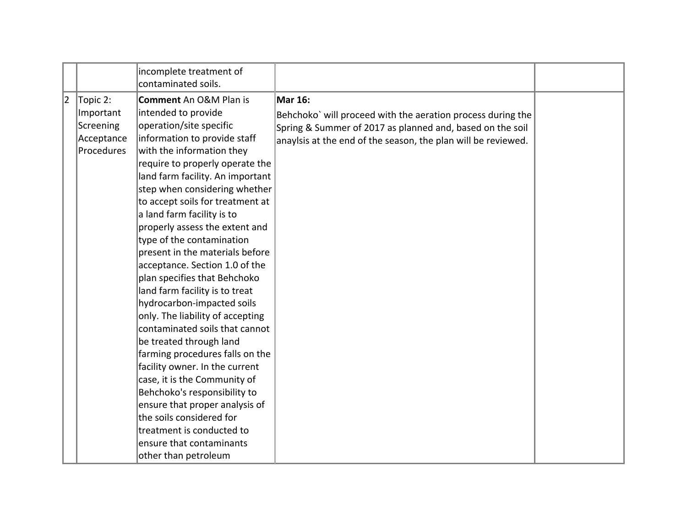|   |                                                                | incomplete treatment of<br>contaminated soils.                                                                                                                                                                                                                                                                                                                                                                                                                                                                                                                                                                                                                                                                                                                                                                                                                                                                                                  |                                                                                                                                                                                                             |  |
|---|----------------------------------------------------------------|-------------------------------------------------------------------------------------------------------------------------------------------------------------------------------------------------------------------------------------------------------------------------------------------------------------------------------------------------------------------------------------------------------------------------------------------------------------------------------------------------------------------------------------------------------------------------------------------------------------------------------------------------------------------------------------------------------------------------------------------------------------------------------------------------------------------------------------------------------------------------------------------------------------------------------------------------|-------------------------------------------------------------------------------------------------------------------------------------------------------------------------------------------------------------|--|
| 2 | Topic 2:<br>Important<br>Screening<br>Acceptance<br>Procedures | <b>Comment</b> An O&M Plan is<br>intended to provide<br>operation/site specific<br>information to provide staff<br>with the information they<br>require to properly operate the<br>land farm facility. An important<br>step when considering whether<br>to accept soils for treatment at<br>a land farm facility is to<br>properly assess the extent and<br>type of the contamination<br>present in the materials before<br>acceptance. Section 1.0 of the<br>plan specifies that Behchoko<br>land farm facility is to treat<br>hydrocarbon-impacted soils<br>only. The liability of accepting<br>contaminated soils that cannot<br>be treated through land<br>farming procedures falls on the<br>facility owner. In the current<br>case, it is the Community of<br>Behchoko's responsibility to<br>ensure that proper analysis of<br>the soils considered for<br>treatment is conducted to<br>ensure that contaminants<br>other than petroleum | <b>Mar 16:</b><br>Behchoko' will proceed with the aeration process during the<br>Spring & Summer of 2017 as planned and, based on the soil<br>anaylsis at the end of the season, the plan will be reviewed. |  |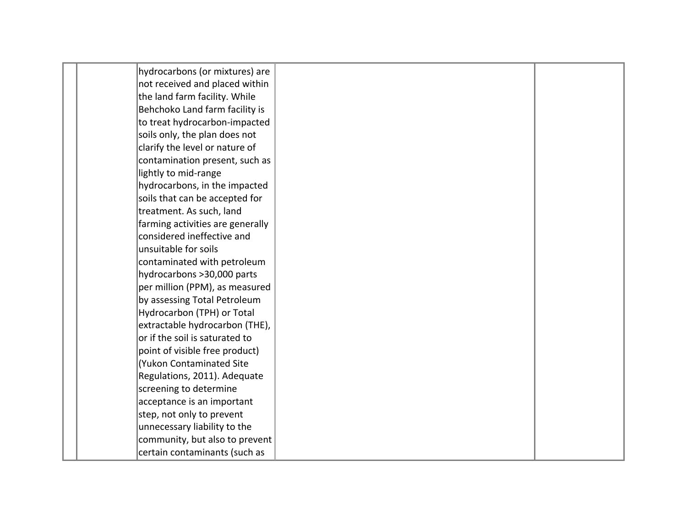| hydrocarbons (or mixtures) are   |  |
|----------------------------------|--|
| not received and placed within   |  |
| the land farm facility. While    |  |
| Behchoko Land farm facility is   |  |
| to treat hydrocarbon-impacted    |  |
| soils only, the plan does not    |  |
| clarify the level or nature of   |  |
| contamination present, such as   |  |
| lightly to mid-range             |  |
| hydrocarbons, in the impacted    |  |
| soils that can be accepted for   |  |
| treatment. As such, land         |  |
| farming activities are generally |  |
| considered ineffective and       |  |
| unsuitable for soils             |  |
| contaminated with petroleum      |  |
| hydrocarbons > 30,000 parts      |  |
| per million (PPM), as measured   |  |
| by assessing Total Petroleum     |  |
| Hydrocarbon (TPH) or Total       |  |
| extractable hydrocarbon (THE),   |  |
| or if the soil is saturated to   |  |
| point of visible free product)   |  |
| Yukon Contaminated Site          |  |
| Regulations, 2011). Adequate     |  |
| screening to determine           |  |
| acceptance is an important       |  |
| step, not only to prevent        |  |
| unnecessary liability to the     |  |
| community, but also to prevent   |  |
| certain contaminants (such as    |  |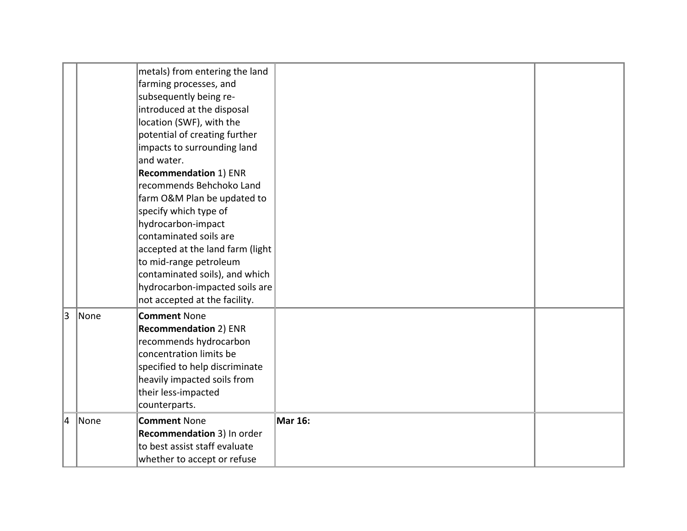|   |             | metals) from entering the land<br>farming processes, and<br>subsequently being re-<br>introduced at the disposal<br>location (SWF), with the<br>potential of creating further<br>impacts to surrounding land<br>and water.<br><b>Recommendation 1) ENR</b><br>recommends Behchoko Land<br>farm O&M Plan be updated to<br>specify which type of<br>hydrocarbon-impact<br>contaminated soils are<br>accepted at the land farm (light<br>to mid-range petroleum<br>contaminated soils), and which<br>hydrocarbon-impacted soils are |                |  |
|---|-------------|----------------------------------------------------------------------------------------------------------------------------------------------------------------------------------------------------------------------------------------------------------------------------------------------------------------------------------------------------------------------------------------------------------------------------------------------------------------------------------------------------------------------------------|----------------|--|
| 3 | <i>None</i> | not accepted at the facility.<br><b>Comment None</b><br><b>Recommendation 2) ENR</b><br>recommends hydrocarbon<br>concentration limits be<br>specified to help discriminate<br>heavily impacted soils from<br>their less-impacted<br>counterparts.                                                                                                                                                                                                                                                                               |                |  |
| 4 | None        | <b>Comment None</b><br>Recommendation 3) In order<br>to best assist staff evaluate<br>whether to accept or refuse                                                                                                                                                                                                                                                                                                                                                                                                                | <b>Mar 16:</b> |  |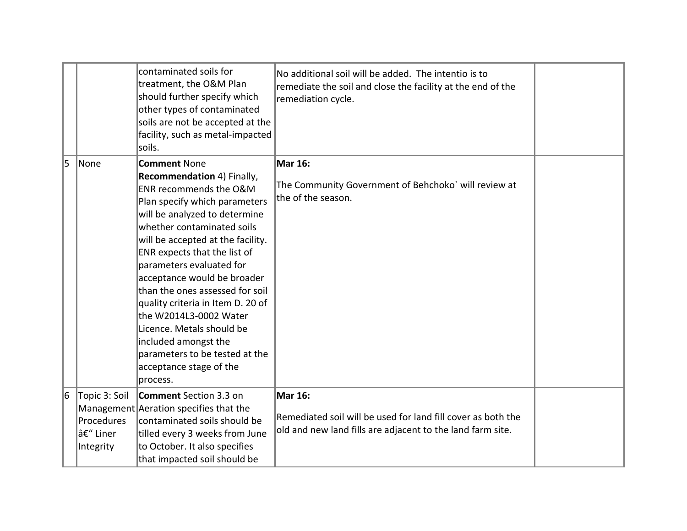|   |                                                      | contaminated soils for<br>treatment, the O&M Plan<br>should further specify which<br>other types of contaminated<br>soils are not be accepted at the<br>facility, such as metal-impacted<br>soils.                                                                                                                                                                                                                                                                                                                                          | No additional soil will be added. The intentio is to<br>remediate the soil and close the facility at the end of the<br>remediation cycle.    |  |
|---|------------------------------------------------------|---------------------------------------------------------------------------------------------------------------------------------------------------------------------------------------------------------------------------------------------------------------------------------------------------------------------------------------------------------------------------------------------------------------------------------------------------------------------------------------------------------------------------------------------|----------------------------------------------------------------------------------------------------------------------------------------------|--|
| 5 | None                                                 | <b>Comment None</b><br>Recommendation 4) Finally,<br>ENR recommends the O&M<br>Plan specify which parameters<br>will be analyzed to determine<br>whether contaminated soils<br>will be accepted at the facility.<br>ENR expects that the list of<br>parameters evaluated for<br>acceptance would be broader<br>than the ones assessed for soil<br>quality criteria in Item D. 20 of<br>the W2014L3-0002 Water<br>Licence. Metals should be<br>included amongst the<br>parameters to be tested at the<br>acceptance stage of the<br>process. | <b>Mar 16:</b><br>The Community Government of Behchoko' will review at<br>the of the season.                                                 |  |
| 6 | Topic 3: Soil<br>Procedures<br> – Liner<br>Integrity | <b>Comment</b> Section 3.3 on<br>Management Aeration specifies that the<br>contaminated soils should be<br>tilled every 3 weeks from June<br>to October. It also specifies<br>that impacted soil should be                                                                                                                                                                                                                                                                                                                                  | <b>Mar 16:</b><br>Remediated soil will be used for land fill cover as both the<br>old and new land fills are adjacent to the land farm site. |  |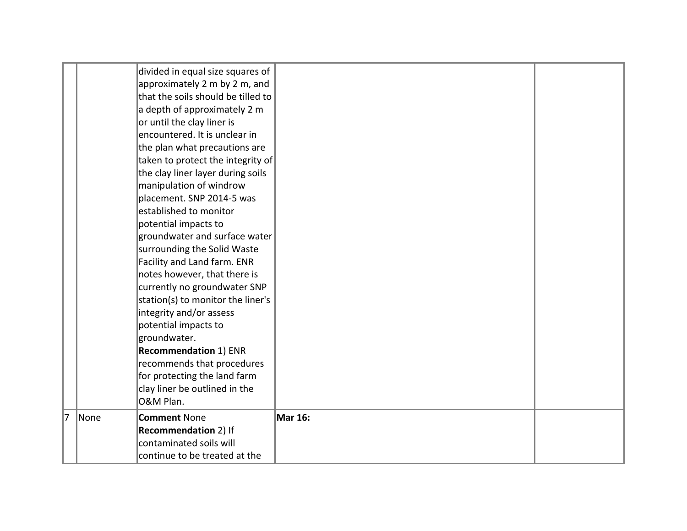|   |      | divided in equal size squares of   |                |  |
|---|------|------------------------------------|----------------|--|
|   |      | approximately 2 m by 2 m, and      |                |  |
|   |      | that the soils should be tilled to |                |  |
|   |      | a depth of approximately 2 m       |                |  |
|   |      | or until the clay liner is         |                |  |
|   |      | encountered. It is unclear in      |                |  |
|   |      | the plan what precautions are      |                |  |
|   |      | taken to protect the integrity of  |                |  |
|   |      | the clay liner layer during soils  |                |  |
|   |      | manipulation of windrow            |                |  |
|   |      | placement. SNP 2014-5 was          |                |  |
|   |      | established to monitor             |                |  |
|   |      | potential impacts to               |                |  |
|   |      | groundwater and surface water      |                |  |
|   |      | surrounding the Solid Waste        |                |  |
|   |      | Facility and Land farm. ENR        |                |  |
|   |      | notes however, that there is       |                |  |
|   |      | currently no groundwater SNP       |                |  |
|   |      | station(s) to monitor the liner's  |                |  |
|   |      | integrity and/or assess            |                |  |
|   |      | potential impacts to               |                |  |
|   |      | groundwater.                       |                |  |
|   |      | <b>Recommendation 1) ENR</b>       |                |  |
|   |      | recommends that procedures         |                |  |
|   |      | for protecting the land farm       |                |  |
|   |      | clay liner be outlined in the      |                |  |
|   |      | O&M Plan.                          |                |  |
| 7 | None | <b>Comment None</b>                | <b>Mar 16:</b> |  |
|   |      | <b>Recommendation 2) If</b>        |                |  |
|   |      | contaminated soils will            |                |  |
|   |      | continue to be treated at the      |                |  |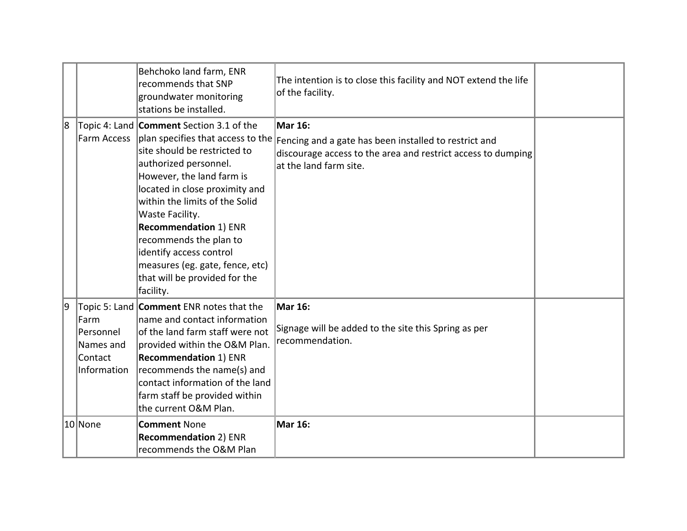|   |                                                            | Behchoko land farm, ENR<br>recommends that SNP<br>groundwater monitoring<br>stations be installed.                                                                                                                                                                                                                                                                                                                                                    | The intention is to close this facility and NOT extend the life<br>of the facility.                                                                               |  |
|---|------------------------------------------------------------|-------------------------------------------------------------------------------------------------------------------------------------------------------------------------------------------------------------------------------------------------------------------------------------------------------------------------------------------------------------------------------------------------------------------------------------------------------|-------------------------------------------------------------------------------------------------------------------------------------------------------------------|--|
| 8 |                                                            | Topic 4: Land <b>Comment</b> Section 3.1 of the<br>Farm Access   plan specifies that access to the<br>site should be restricted to<br>authorized personnel.<br>However, the land farm is<br>located in close proximity and<br>within the limits of the Solid<br>Waste Facility.<br><b>Recommendation 1) ENR</b><br>recommends the plan to<br>identify access control<br>measures (eg. gate, fence, etc)<br>that will be provided for the<br>facility. | <b>Mar 16:</b><br>Fencing and a gate has been installed to restrict and<br>discourage access to the area and restrict access to dumping<br>at the land farm site. |  |
| 9 | Farm<br> Personnel <br>Names and<br>Contact<br>Information | Topic 5: Land Comment ENR notes that the<br>name and contact information<br>of the land farm staff were not<br>provided within the O&M Plan.<br><b>Recommendation 1) ENR</b><br>recommends the name(s) and<br>contact information of the land<br>farm staff be provided within<br>the current O&M Plan.                                                                                                                                               | <b>Mar 16:</b><br>Signage will be added to the site this Spring as per<br>recommendation.                                                                         |  |
|   | 10 None                                                    | <b>Comment None</b><br><b>Recommendation 2) ENR</b><br>recommends the O&M Plan                                                                                                                                                                                                                                                                                                                                                                        | Mar 16:                                                                                                                                                           |  |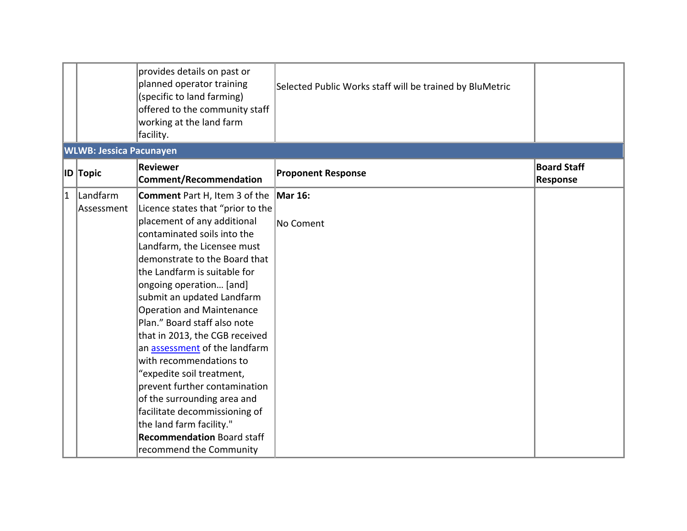|   |                                | provides details on past or<br>planned operator training<br>(specific to land farming)<br>offered to the community staff<br>working at the land farm<br>facility.                                                                                                                                                                                                                                                                                                                                                                                                                                                                                                              | Selected Public Works staff will be trained by BluMetric |                                       |
|---|--------------------------------|--------------------------------------------------------------------------------------------------------------------------------------------------------------------------------------------------------------------------------------------------------------------------------------------------------------------------------------------------------------------------------------------------------------------------------------------------------------------------------------------------------------------------------------------------------------------------------------------------------------------------------------------------------------------------------|----------------------------------------------------------|---------------------------------------|
|   | <b>WLWB: Jessica Pacunayen</b> |                                                                                                                                                                                                                                                                                                                                                                                                                                                                                                                                                                                                                                                                                |                                                          |                                       |
|   | <b>ID</b> Topic                | Reviewer<br><b>Comment/Recommendation</b>                                                                                                                                                                                                                                                                                                                                                                                                                                                                                                                                                                                                                                      | <b>Proponent Response</b>                                | <b>Board Staff</b><br><b>Response</b> |
| 1 | Landfarm<br>Assessment         | Comment Part H, Item 3 of the<br>Licence states that "prior to the<br>placement of any additional<br>contaminated soils into the<br>Landfarm, the Licensee must<br>demonstrate to the Board that<br>the Landfarm is suitable for<br>ongoing operation [and]<br>submit an updated Landfarm<br>Operation and Maintenance<br>Plan." Board staff also note<br>that in 2013, the CGB received<br>an assessment of the landfarm<br>with recommendations to<br>"expedite soil treatment,<br>prevent further contamination<br>of the surrounding area and<br>facilitate decommissioning of<br>the land farm facility."<br><b>Recommendation Board staff</b><br>recommend the Community | <b>Mar 16:</b><br>$\sf N$ o Coment                       |                                       |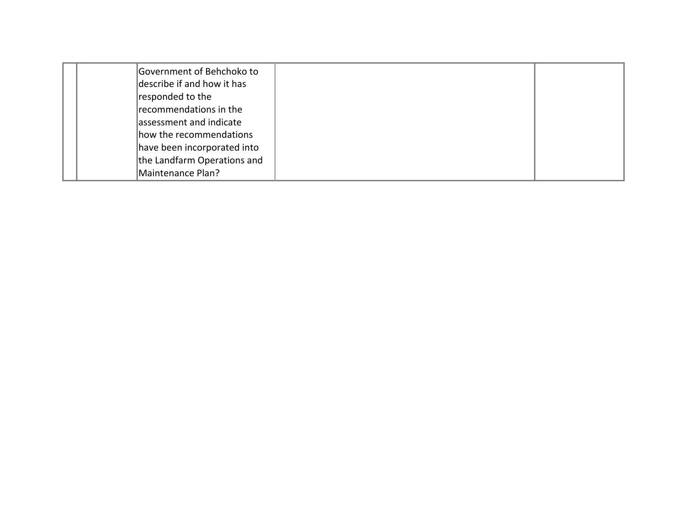| Government of Behchoko to<br>describe if and how it has<br>responded to the<br>recommendations in the<br>assessment and indicate<br>how the recommendations<br>have been incorporated into |  |
|--------------------------------------------------------------------------------------------------------------------------------------------------------------------------------------------|--|
| the Landfarm Operations and                                                                                                                                                                |  |
| Maintenance Plan?                                                                                                                                                                          |  |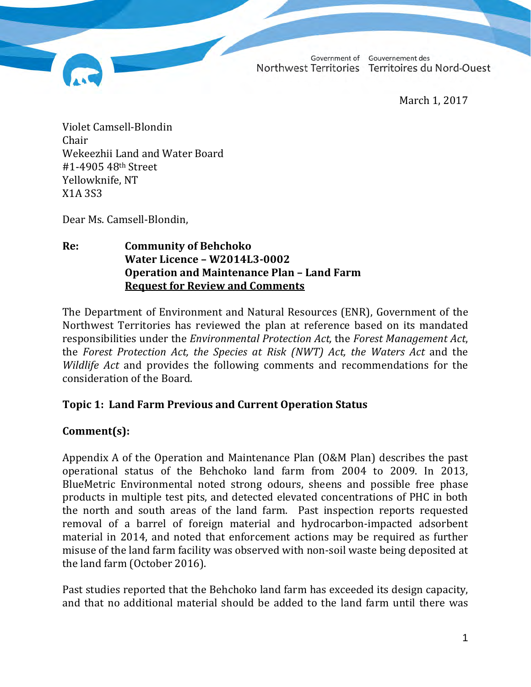Government of Gouvernement des Northwest Territories Territoires du Nord-Ouest

March 1, 2017

Violet Camsell-Blondin Chair Wekeezhii Land and Water Board #1-4905 48th Street Yellowknife, NT X1A 3S3

Dear Ms. Camsell-Blondin,

#### **Re: Community of Behchoko Water Licence – W2014L3-0002 Operation and Maintenance Plan – Land Farm Request for Review and Comments**

The Department of Environment and Natural Resources (ENR), Government of the Northwest Territories has reviewed the plan at reference based on its mandated responsibilities under the *Environmental Protection Act,* the *Forest Management Act*, the *Forest Protection Act, the Species at Risk (NWT) Act, the Waters Act* and the *Wildlife Act* and provides the following comments and recommendations for the consideration of the Board.

#### **Topic 1: Land Farm Previous and Current Operation Status**

# **Comment(s):**

Appendix A of the Operation and Maintenance Plan (O&M Plan) describes the past operational status of the Behchoko land farm from 2004 to 2009. In 2013, BlueMetric Environmental noted strong odours, sheens and possible free phase products in multiple test pits, and detected elevated concentrations of PHC in both the north and south areas of the land farm. Past inspection reports requested removal of a barrel of foreign material and hydrocarbon-impacted adsorbent material in 2014, and noted that enforcement actions may be required as further misuse of the land farm facility was observed with non-soil waste being deposited at the land farm (October 2016).

Past studies reported that the Behchoko land farm has exceeded its design capacity, and that no additional material should be added to the land farm until there was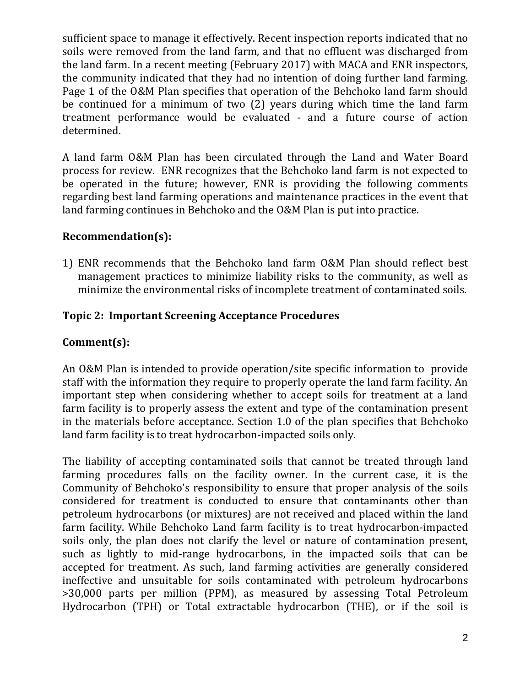sufficient space to manage it effectively. Recent inspection reports indicated that no soils were removed from the land farm, and that no effluent was discharged from the land farm. In a recent meeting (February 2017) with MACA and ENR inspectors, the community indicated that they had no intention of doing further land farming. Page 1 of the O&M Plan specifies that operation of the Behchoko land farm should be continued for a minimum of two (2) years during which time the land farm treatment performance would be evaluated - and a future course of action determined.

A land farm O&M Plan has been circulated through the Land and Water Board process for review. ENR recognizes that the Behchoko land farm is not expected to be operated in the future; however, ENR is providing the following comments regarding best land farming operations and maintenance practices in the event that land farming continues in Behchoko and the O&M Plan is put into practice.

### **Recommendation(s):**

1) ENR recommends that the Behchoko land farm O&M Plan should reflect best management practices to minimize liability risks to the community, as well as minimize the environmental risks of incomplete treatment of contaminated soils.

### **Topic 2: Important Screening Acceptance Procedures**

# **Comment(s):**

An O&M Plan is intended to provide operation/site specific information to provide staff with the information they require to properly operate the land farm facility. An important step when considering whether to accept soils for treatment at a land farm facility is to properly assess the extent and type of the contamination present in the materials before acceptance. Section 1.0 of the plan specifies that Behchoko land farm facility is to treat hydrocarbon-impacted soils only.

The liability of accepting contaminated soils that cannot be treated through land farming procedures falls on the facility owner. In the current case, it is the Community of Behchoko's responsibility to ensure that proper analysis of the soils considered for treatment is conducted to ensure that contaminants other than petroleum hydrocarbons (or mixtures) are not received and placed within the land farm facility. While Behchoko Land farm facility is to treat hydrocarbon-impacted soils only, the plan does not clarify the level or nature of contamination present, such as lightly to mid-range hydrocarbons, in the impacted soils that can be accepted for treatment. As such, land farming activities are generally considered ineffective and unsuitable for soils contaminated with petroleum hydrocarbons >30,000 parts per million (PPM), as measured by assessing Total Petroleum Hydrocarbon (TPH) or Total extractable hydrocarbon (THE), or if the soil is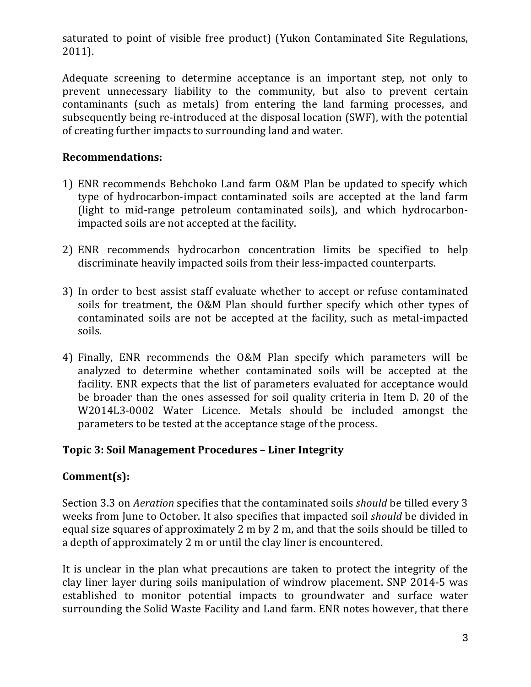saturated to point of visible free product) (Yukon Contaminated Site Regulations, 2011).

Adequate screening to determine acceptance is an important step, not only to prevent unnecessary liability to the community, but also to prevent certain contaminants (such as metals) from entering the land farming processes, and subsequently being re-introduced at the disposal location (SWF), with the potential of creating further impacts to surrounding land and water.

### **Recommendations:**

- 1) ENR recommends Behchoko Land farm O&M Plan be updated to specify which type of hydrocarbon-impact contaminated soils are accepted at the land farm (light to mid-range petroleum contaminated soils), and which hydrocarbonimpacted soils are not accepted at the facility.
- 2) ENR recommends hydrocarbon concentration limits be specified to help discriminate heavily impacted soils from their less-impacted counterparts.
- 3) In order to best assist staff evaluate whether to accept or refuse contaminated soils for treatment, the O&M Plan should further specify which other types of contaminated soils are not be accepted at the facility, such as metal-impacted soils.
- 4) Finally, ENR recommends the O&M Plan specify which parameters will be analyzed to determine whether contaminated soils will be accepted at the facility. ENR expects that the list of parameters evaluated for acceptance would be broader than the ones assessed for soil quality criteria in Item D. 20 of the W2014L3-0002 Water Licence. Metals should be included amongst the parameters to be tested at the acceptance stage of the process.

# **Topic 3: Soil Management Procedures – Liner Integrity**

# **Comment(s):**

Section 3.3 on *Aeration* specifies that the contaminated soils *should* be tilled every 3 weeks from June to October. It also specifies that impacted soil *should* be divided in equal size squares of approximately 2 m by 2 m, and that the soils should be tilled to a depth of approximately 2 m or until the clay liner is encountered.

It is unclear in the plan what precautions are taken to protect the integrity of the clay liner layer during soils manipulation of windrow placement. SNP 2014-5 was established to monitor potential impacts to groundwater and surface water surrounding the Solid Waste Facility and Land farm. ENR notes however, that there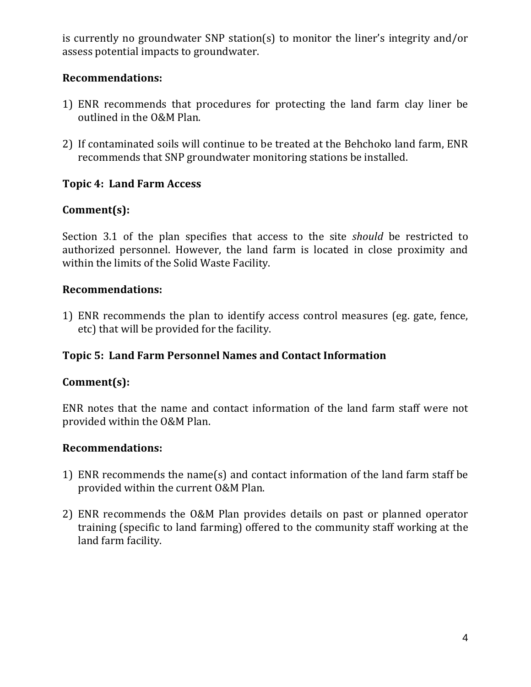is currently no groundwater SNP station(s) to monitor the liner's integrity and/or assess potential impacts to groundwater.

#### **Recommendations:**

- 1) ENR recommends that procedures for protecting the land farm clay liner be outlined in the O&M Plan.
- 2) If contaminated soils will continue to be treated at the Behchoko land farm, ENR recommends that SNP groundwater monitoring stations be installed.

#### **Topic 4: Land Farm Access**

# **Comment(s):**

Section 3.1 of the plan specifies that access to the site *should* be restricted to authorized personnel. However, the land farm is located in close proximity and within the limits of the Solid Waste Facility.

#### **Recommendations:**

1) ENR recommends the plan to identify access control measures (eg. gate, fence, etc) that will be provided for the facility.

# **Topic 5: Land Farm Personnel Names and Contact Information**

#### **Comment(s):**

ENR notes that the name and contact information of the land farm staff were not provided within the O&M Plan.

#### **Recommendations:**

- 1) ENR recommends the name(s) and contact information of the land farm staff be provided within the current O&M Plan.
- 2) ENR recommends the O&M Plan provides details on past or planned operator training (specific to land farming) offered to the community staff working at the land farm facility.